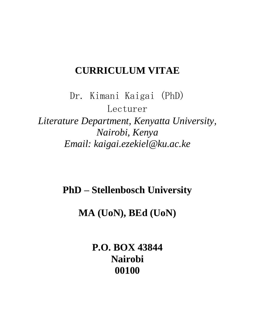# **CURRICULUM VITAE**

Dr. Kimani Kaigai (PhD) Lecturer *Literature Department, Kenyatta University, Nairobi, Kenya Email: kaigai.ezekiel@ku.ac.ke*

**PhD – Stellenbosch University**

**MA (UoN), BEd (UoN)**

**P.O. BOX 43844 Nairobi 00100**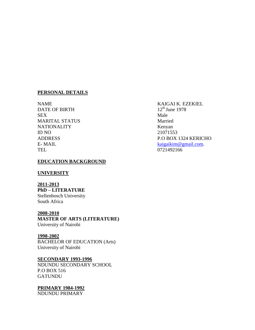#### **PERSONAL DETAILS**

NAME KAIGAI K. EZEKIEL<br>DATE OF BIRTH 12<sup>th</sup> June 1978 DATE OF BIRTH SEX Male MARITAL STATUS Married NATIONALITY Kenyan ID NO 21071553 TEL 0721492166

# **EDUCATION BACKGROUND**

#### **UNIVERSITY**

**2011-2013 PhD – LITERATURE** Stellenbosch University South Africa

# **2008-2010**

**MASTER OF ARTS (LITERATURE)** University of Nairobi

#### **1998-2002**

BACHELOR OF EDUCATION (Arts) University of Nairobi

# **SECONDARY 1993-1996**

NDUNDU SECONDARY SCHOOL P.O BOX 516 GATUNDU

#### **PRIMARY 1984-1992**

NDUNDU PRIMARY

ADDRESS P.O BOX 1324 KERICHO E- MAIL  $\frac{\text{kaigai}\times\text{Im}\omega\,\text{gmi}}{\text{kaigai}\times\text{Im}\omega\,\text{gmi}}$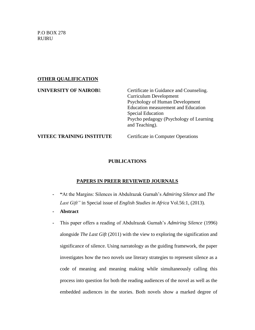P.O BOX 278 **RUIRU** 

# **OTHER QUALIFICATION**

| <b>UNIVERSITY OF NAIROBI:</b> | Certificate in Guidance and Counseling.<br><b>Curriculum Development</b><br>Psychology of Human Development<br><b>Education measurement and Education</b><br><b>Special Education</b><br>Psychology (Psychology of Learning<br>and Teaching). |
|-------------------------------|-----------------------------------------------------------------------------------------------------------------------------------------------------------------------------------------------------------------------------------------------|
| VITEEC TRAINING INSTITUTE     | <b>Certificate in Computer Operations</b>                                                                                                                                                                                                     |

# **PUBLICATIONS**

# **PAPERS IN PREER REVIEWED JOURNALS**

- **- "**At the Margins: Silences in Abdulrazak Gurnah's *Admiring Silence* and *The Last Gift"* in Special issue of *English Studies in Africa* Vol.56:1, (2013).
- **- Abstract**
- **-** This paper offers a reading of Abdulrazak Gurnah's *Admiring Silence* (1996) alongside *The Last Gift* (2011) with the view to exploring the signification and significance of silence. Using narratology as the guiding framework, the paper investigates how the two novels use literary strategies to represent silence as a code of meaning and meaning making while simultaneously calling this process into question for both the reading audiences of the novel as well as the embedded audiences in the stories. Both novels show a marked degree of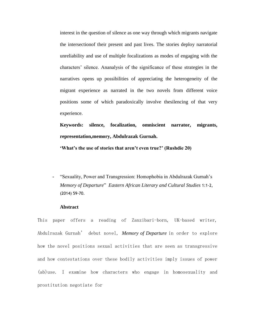interest in the question of silence as one way through which migrants navigate the intersectionof their present and past lives. The stories deploy narratorial unreliability and use of multiple focalizations as modes of engaging with the characters' silence. Ananalysis of the significance of these strategies in the narratives opens up possibilities of appreciating the heterogeneity of the migrant experience as narrated in the two novels from different voice positions some of which paradoxically involve thesilencing of that very experience.

**Keywords: silence, focalization, omniscient narrator, migrants, representation,memory, Abdulrazak Gurnah.**

**'What's the use of stories that aren't even true?' (Rushdie 20)**

**-** "Sexuality, Power and Transgression: Homophobia in Abdulrazak Gurnah's *Memory of Departure*" *Eastern African Literary and Cultural Studies* 1:1-2, (2014) 59-70.

#### **Abstract**

This paper offers a reading of Zanzibari-born, UK-based writer, Abdulrazak Gurnah' debut novel, *Memory of Departure* in order to explore how the novel positions sexual activities that are seen as transgressive and how contestations over these bodily activities imply issues of power (ab)use. I examine how characters who engage in homosexuality and prostitution negotiate for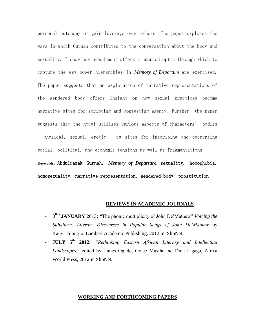personal autonomy or gain leverage over others. The paper explores the ways in which Gurnah contributes to the conversation about the body and sexuality. I show how embodiment offers a nuanced optic through which to capture the way power hierarchies in *Memory of Departure* are exercised. The paper suggests that an exploration of narrative representations of the gendered body offers insight on how sexual practices become narrative sites for scripting and contesting agency. Further, the paper suggests that the novel utilises various aspects of characters' bodies – physical, sexual, erotic – as sites for inscribing and decrypting social, political, and economic tensions as well as fragmentations. **Keywords:** Abdulrazak Gurnah, *Memory of Departure,* sexuality, homophobia, homosexuality, narrative representation, gendered body, prostitution

#### **REVIEWS IN ACADEMIC JOURNALS**

- **3 RD JANUARY** 2013**: "**The phonic multiplicity of John De'Mathew" *Voicing the Subaltern: Literary Discourses in Popular Songs of John De'Mathew* by KanyiThiong'o, Lambert Academic Publishing, 2012 in SlipNet.
- **JULY 5th 2012***: "Rethinking Eastern African Literary and Intellectual Landscapes*," edited by James Ogude, Grace Musila and Dina Ligaga, Africa World Press, 2012 in SlipNet.

#### **WORKING AND FORTHCOMING PAPERS**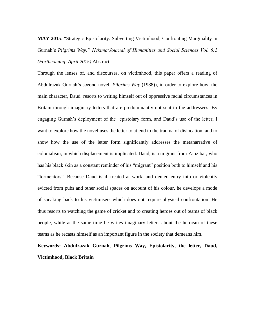**MAY 2015**: "Strategic Epistolarity: Subverting Victimhood, Confronting Marginality in Gurnah's *Pilgrims Way." Hekima:Journal of Humanities and Social Sciences Vol. 6:2 (Forthcoming- April 2015)* Abstract

Through the lenses of, and discourses, on victimhood, this paper offers a reading of Abdulrazak Gurnah's second novel, *Pilgrims Way* (1988)), in order to explore how, the main character, Daud resorts to writing himself out of oppressive racial circumstances in Britain through imaginary letters that are predominantly not sent to the addressees. By engaging Gurnah's deployment of the epistolary form, and Daud's use of the letter, I want to explore how the novel uses the letter to attend to the trauma of dislocation, and to show how the use of the letter form significantly addresses the metanarrative of colonialism, in which displacement is implicated. Daud, is a migrant from Zanzibar, who has his black skin as a constant reminder of his "migrant" position both to himself and his "tormentors". Because Daud is ill-treated at work, and denied entry into or violently evicted from pubs and other social spaces on account of his colour, he develops a mode of speaking back to his victimisers which does not require physical confrontation. He thus resorts to watching the game of cricket and to creating heroes out of teams of black people, while at the same time he writes imaginary letters about the heroism of these teams as he recasts himself as an important figure in the society that demeans him.

**Keywords: Abdulrazak Gurnah, Pilgrims Way, Epistolarity, the letter, Daud, Victimhood, Black Britain**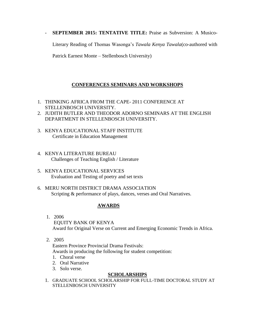#### - **SEPTEMBER 2015: TENTATIVE TITLE:** Praise as Subversion: A Musico-

Literary Reading of Thomas Wasonga's *Tawala Kenya Tawala*(co-authored with

Patrick Earnest Monte – Stellenbosch University)

# **CONFERENCES SEMINARS AND WORKSHOPS**

- 1. THINKING AFRICA FROM THE CAPE- 2011 CONFERENCE AT STELLENBOSCH UNIVERSITY.
- 2. JUDITH BUTLER AND THEODOR ADORNO SEMINARS AT THE ENGLISH DEPARTMENT IN STELLENBOSCH UNIVERSITY.
- 3. KENYA EDUCATIONAL STAFF INSTITUTE Certificate in Education Management
- 4. KENYA LITERATURE BUREAU Challenges of Teaching English / Literature
- 5. KENYA EDUCATIONAL SERVICES Evaluation and Testing of poetry and set texts
- 6. MERU NORTH DISTRICT DRAMA ASSOCIATION Scripting & performance of plays, dances, verses and Oral Narratives.

#### **AWARDS**

- 1. 2006 EQUITY BANK OF KENYA Award for Original Verse on Current and Emerging Economic Trends in Africa.
- 2. 2005

Eastern Province Provincial Drama Festivals: Awards in producing the following for student competition:

- 1. Choral verse
- 2. Oral Narrative
- 3. Solo verse.

#### **SCHOLARSHIPS**

1. GRADUATE SCHOOL SCHOLARSHIP FOR FULL-TIME DOCTORAL STUDY AT STELLENBOSCH UNIVERSITY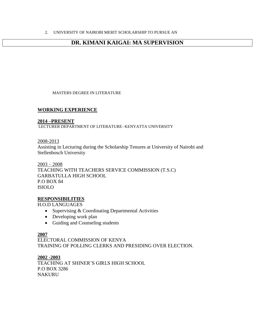# **DR. KIMANI KAIGAI: MA SUPERVISION**

MASTERS DEGREE IN LITERATURE

# **WORKING EXPERIENCE**

#### **2014 –PRESENT**

LECTURER DEPARTMENT OF LITERATURE- KENYATTA UNIVERSITY

2008-2013

Assisting in Lecturing during the Scholarship Tenures at University of Nairobi and Stellenbosch University

2003 – 2008 TEACHING WITH TEACHERS SERVICE COMMISSION (T.S.C) GARBATULLA HIGH SCHOOL P.O BOX 84 ISIOLO

#### **RESPONSIBILITIES**

H.O.D LANGUAGES

- Supervising & Coordinating Departmental Activities
- Developing work plan
- Guiding and Counseling students

#### **2007**

ELECTORAL COMMISSION OF KENYA TRAINING OF POLLING CLERKS AND PRESIDING OVER ELECTION.

**2002 -2003**

TEACHING AT SHINER'S GIRLS HIGH SCHOOL P.O BOX 3286 NAKURU